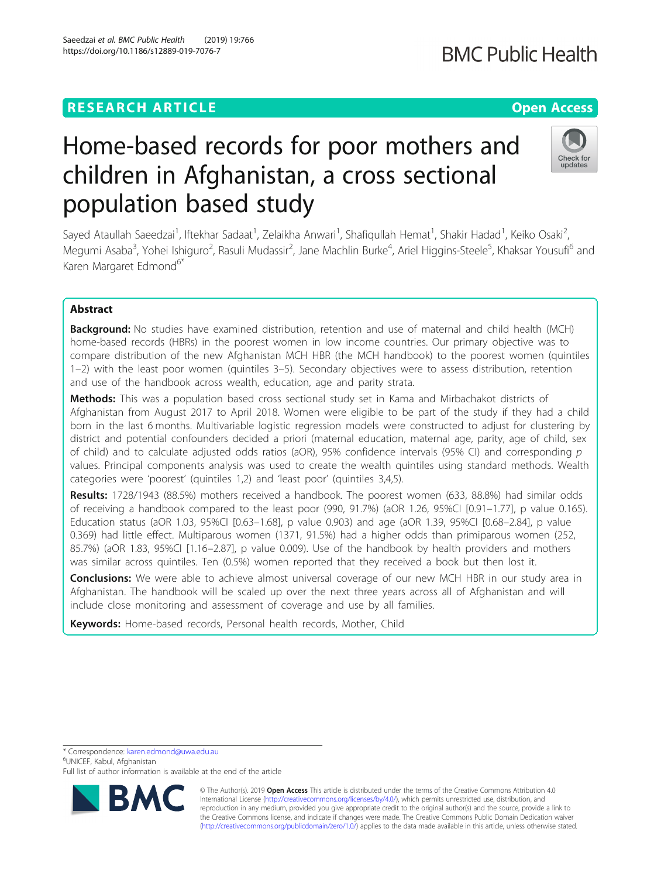## **RESEARCH ARTICLE Example 2018 12:30 THE Open Access**

# Home-based records for poor mothers and children in Afghanistan, a cross sectional population based study

Sayed Ataullah Saeedzai<sup>1</sup>, Iftekhar Sadaat<sup>1</sup>, Zelaikha Anwari<sup>1</sup>, Shafiqullah Hemat<sup>1</sup>, Shakir Hadad<sup>1</sup>, Keiko Osaki<sup>2</sup> .<br>, Megumi Asaba<sup>3</sup>, Yohei Ishiguro<sup>2</sup>, Rasuli Mudassir<sup>2</sup>, Jane Machlin Burke<sup>4</sup>, Ariel Higgins-Steele<sup>5</sup>, Khaksar Yousufi<sup>6</sup> and Karen Margaret Edmond<sup>6\*</sup>

## Abstract

**Background:** No studies have examined distribution, retention and use of maternal and child health (MCH) home-based records (HBRs) in the poorest women in low income countries. Our primary objective was to compare distribution of the new Afghanistan MCH HBR (the MCH handbook) to the poorest women (quintiles 1–2) with the least poor women (quintiles 3–5). Secondary objectives were to assess distribution, retention and use of the handbook across wealth, education, age and parity strata.

Methods: This was a population based cross sectional study set in Kama and Mirbachakot districts of Afghanistan from August 2017 to April 2018. Women were eligible to be part of the study if they had a child born in the last 6 months. Multivariable logistic regression models were constructed to adjust for clustering by district and potential confounders decided a priori (maternal education, maternal age, parity, age of child, sex of child) and to calculate adjusted odds ratios (aOR), 95% confidence intervals (95% CI) and corresponding  $p$ values. Principal components analysis was used to create the wealth quintiles using standard methods. Wealth categories were 'poorest' (quintiles 1,2) and 'least poor' (quintiles 3,4,5).

Results: 1728/1943 (88.5%) mothers received a handbook. The poorest women (633, 88.8%) had similar odds of receiving a handbook compared to the least poor (990, 91.7%) (aOR 1.26, 95%CI [0.91–1.77], p value 0.165). Education status (aOR 1.03, 95%CI [0.63–1.68], p value 0.903) and age (aOR 1.39, 95%CI [0.68–2.84], p value 0.369) had little effect. Multiparous women (1371, 91.5%) had a higher odds than primiparous women (252, 85.7%) (aOR 1.83, 95%CI [1.16–2.87], p value 0.009). Use of the handbook by health providers and mothers was similar across quintiles. Ten (0.5%) women reported that they received a book but then lost it.

**Conclusions:** We were able to achieve almost universal coverage of our new MCH HBR in our study area in Afghanistan. The handbook will be scaled up over the next three years across all of Afghanistan and will include close monitoring and assessment of coverage and use by all families.

Keywords: Home-based records, Personal health records, Mother, Child

\* Correspondence: [karen.edmond@uwa.edu.au](mailto:karen.edmond@uwa.edu.au) <sup>6</sup>

UNICEF, Kabul, Afghanistan



© The Author(s). 2019 **Open Access** This article is distributed under the terms of the Creative Commons Attribution 4.0 International License [\(http://creativecommons.org/licenses/by/4.0/](http://creativecommons.org/licenses/by/4.0/)), which permits unrestricted use, distribution, and reproduction in any medium, provided you give appropriate credit to the original author(s) and the source, provide a link to the Creative Commons license, and indicate if changes were made. The Creative Commons Public Domain Dedication waiver [\(http://creativecommons.org/publicdomain/zero/1.0/](http://creativecommons.org/publicdomain/zero/1.0/)) applies to the data made available in this article, unless otherwise stated.



updates



Full list of author information is available at the end of the article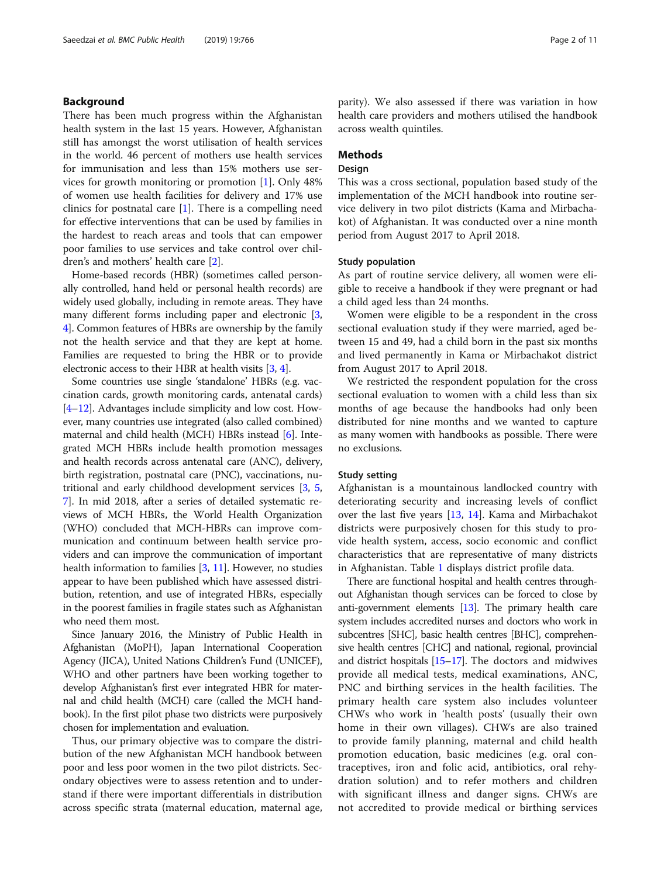## Background

There has been much progress within the Afghanistan health system in the last 15 years. However, Afghanistan still has amongst the worst utilisation of health services in the world. 46 percent of mothers use health services for immunisation and less than 15% mothers use services for growth monitoring or promotion [\[1](#page-9-0)]. Only 48% of women use health facilities for delivery and 17% use clinics for postnatal care  $[1]$  $[1]$ . There is a compelling need for effective interventions that can be used by families in the hardest to reach areas and tools that can empower poor families to use services and take control over children's and mothers' health care [\[2\]](#page-9-0).

Home-based records (HBR) (sometimes called personally controlled, hand held or personal health records) are widely used globally, including in remote areas. They have many different forms including paper and electronic [[3](#page-9-0), [4\]](#page-9-0). Common features of HBRs are ownership by the family not the health service and that they are kept at home. Families are requested to bring the HBR or to provide electronic access to their HBR at health visits [[3,](#page-9-0) [4](#page-9-0)].

Some countries use single 'standalone' HBRs (e.g. vaccination cards, growth monitoring cards, antenatal cards) [[4](#page-9-0)–[12](#page-10-0)]. Advantages include simplicity and low cost. However, many countries use integrated (also called combined) maternal and child health (MCH) HBRs instead [[6\]](#page-9-0). Integrated MCH HBRs include health promotion messages and health records across antenatal care (ANC), delivery, birth registration, postnatal care (PNC), vaccinations, nutritional and early childhood development services [[3](#page-9-0), [5](#page-9-0), [7\]](#page-9-0). In mid 2018, after a series of detailed systematic reviews of MCH HBRs, the World Health Organization (WHO) concluded that MCH-HBRs can improve communication and continuum between health service providers and can improve the communication of important health information to families [\[3,](#page-9-0) [11](#page-10-0)]. However, no studies appear to have been published which have assessed distribution, retention, and use of integrated HBRs, especially in the poorest families in fragile states such as Afghanistan who need them most.

Since January 2016, the Ministry of Public Health in Afghanistan (MoPH), Japan International Cooperation Agency (JICA), United Nations Children's Fund (UNICEF), WHO and other partners have been working together to develop Afghanistan's first ever integrated HBR for maternal and child health (MCH) care (called the MCH handbook). In the first pilot phase two districts were purposively chosen for implementation and evaluation.

Thus, our primary objective was to compare the distribution of the new Afghanistan MCH handbook between poor and less poor women in the two pilot districts. Secondary objectives were to assess retention and to understand if there were important differentials in distribution across specific strata (maternal education, maternal age, parity). We also assessed if there was variation in how health care providers and mothers utilised the handbook across wealth quintiles.

## Methods

## Design

This was a cross sectional, population based study of the implementation of the MCH handbook into routine service delivery in two pilot districts (Kama and Mirbachakot) of Afghanistan. It was conducted over a nine month period from August 2017 to April 2018.

#### Study population

As part of routine service delivery, all women were eligible to receive a handbook if they were pregnant or had a child aged less than 24 months.

Women were eligible to be a respondent in the cross sectional evaluation study if they were married, aged between 15 and 49, had a child born in the past six months and lived permanently in Kama or Mirbachakot district from August 2017 to April 2018.

We restricted the respondent population for the cross sectional evaluation to women with a child less than six months of age because the handbooks had only been distributed for nine months and we wanted to capture as many women with handbooks as possible. There were no exclusions.

#### Study setting

Afghanistan is a mountainous landlocked country with deteriorating security and increasing levels of conflict over the last five years [[13,](#page-10-0) [14](#page-10-0)]. Kama and Mirbachakot districts were purposively chosen for this study to provide health system, access, socio economic and conflict characteristics that are representative of many districts in Afghanistan. Table [1](#page-2-0) displays district profile data.

There are functional hospital and health centres throughout Afghanistan though services can be forced to close by anti-government elements [\[13\]](#page-10-0). The primary health care system includes accredited nurses and doctors who work in subcentres [SHC], basic health centres [BHC], comprehensive health centres [CHC] and national, regional, provincial and district hospitals [[15](#page-10-0)–[17](#page-10-0)]. The doctors and midwives provide all medical tests, medical examinations, ANC, PNC and birthing services in the health facilities. The primary health care system also includes volunteer CHWs who work in 'health posts' (usually their own home in their own villages). CHWs are also trained to provide family planning, maternal and child health promotion education, basic medicines (e.g. oral contraceptives, iron and folic acid, antibiotics, oral rehydration solution) and to refer mothers and children with significant illness and danger signs. CHWs are not accredited to provide medical or birthing services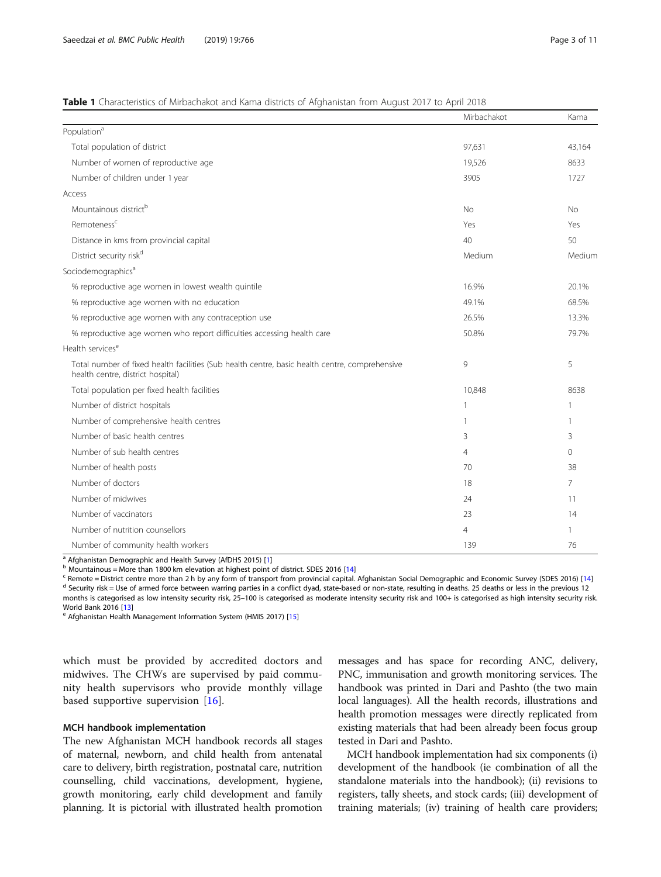### <span id="page-2-0"></span>Table 1 Characteristics of Mirbachakot and Kama districts of Afghanistan from August 2017 to April 2018

|                                                                                                                                     | Mirbachakot    | Kama         |
|-------------------------------------------------------------------------------------------------------------------------------------|----------------|--------------|
| Population <sup>a</sup>                                                                                                             |                |              |
| Total population of district                                                                                                        | 97,631         | 43,164       |
| Number of women of reproductive age                                                                                                 | 19,526         | 8633         |
| Number of children under 1 year                                                                                                     | 3905           | 1727         |
| Access                                                                                                                              |                |              |
| Mountainous district <sup>b</sup>                                                                                                   | No             | <b>No</b>    |
| Remoteness <sup>c</sup>                                                                                                             | Yes            | Yes          |
| Distance in kms from provincial capital                                                                                             | 40             | 50           |
| District security risk <sup>d</sup>                                                                                                 | Medium         | Medium       |
| Sociodemographics <sup>a</sup>                                                                                                      |                |              |
| % reproductive age women in lowest wealth quintile                                                                                  | 16.9%          | 20.1%        |
| % reproductive age women with no education                                                                                          | 49.1%          | 68.5%        |
| % reproductive age women with any contraception use                                                                                 | 26.5%          | 13.3%        |
| % reproductive age women who report difficulties accessing health care                                                              | 50.8%          | 79.7%        |
| Health services <sup>e</sup>                                                                                                        |                |              |
| Total number of fixed health facilities (Sub health centre, basic health centre, comprehensive<br>health centre, district hospital) | 9              | 5            |
| Total population per fixed health facilities                                                                                        | 10,848         | 8638         |
| Number of district hospitals                                                                                                        | 1              | $\mathbf{1}$ |
| Number of comprehensive health centres                                                                                              | 1              |              |
| Number of basic health centres                                                                                                      | 3              | 3            |
| Number of sub health centres                                                                                                        | $\overline{4}$ | $\Omega$     |
| Number of health posts                                                                                                              | 70             | 38           |
| Number of doctors                                                                                                                   | 18             | 7            |
| Number of midwives                                                                                                                  | 24             | 11           |
| Number of vaccinators                                                                                                               | 23             | 14           |
| Number of nutrition counsellors                                                                                                     | $\overline{4}$ | $\mathbf{1}$ |
| Number of community health workers                                                                                                  | 139            | 76           |

<sup>a</sup> Afghanistan Demographic and Health Survey (AfDHS 2015) [[1\]](#page-9-0)<br><sup>b</sup> Mountainous = More than 1800 km elevation at highest point of district. SDES 2016 [[14\]](#page-10-0)<br><sup>c</sup> Remote = District centre more than 2 h by any form of transport months is categorised as low intensity security risk, 25–100 is categorised as moderate intensity security risk and 100+ is categorised as high intensity security risk.

World Bank 2016 [\[13](#page-10-0)]<br><sup>e</sup> Afghanistan Health Management Information System (HMIS 2017) [\[15](#page-10-0)]

which must be provided by accredited doctors and midwives. The CHWs are supervised by paid community health supervisors who provide monthly village based supportive supervision  $[16]$  $[16]$ .

#### MCH handbook implementation

The new Afghanistan MCH handbook records all stages of maternal, newborn, and child health from antenatal care to delivery, birth registration, postnatal care, nutrition counselling, child vaccinations, development, hygiene, growth monitoring, early child development and family planning. It is pictorial with illustrated health promotion

messages and has space for recording ANC, delivery, PNC, immunisation and growth monitoring services. The handbook was printed in Dari and Pashto (the two main local languages). All the health records, illustrations and health promotion messages were directly replicated from existing materials that had been already been focus group tested in Dari and Pashto.

MCH handbook implementation had six components (i) development of the handbook (ie combination of all the standalone materials into the handbook); (ii) revisions to registers, tally sheets, and stock cards; (iii) development of training materials; (iv) training of health care providers;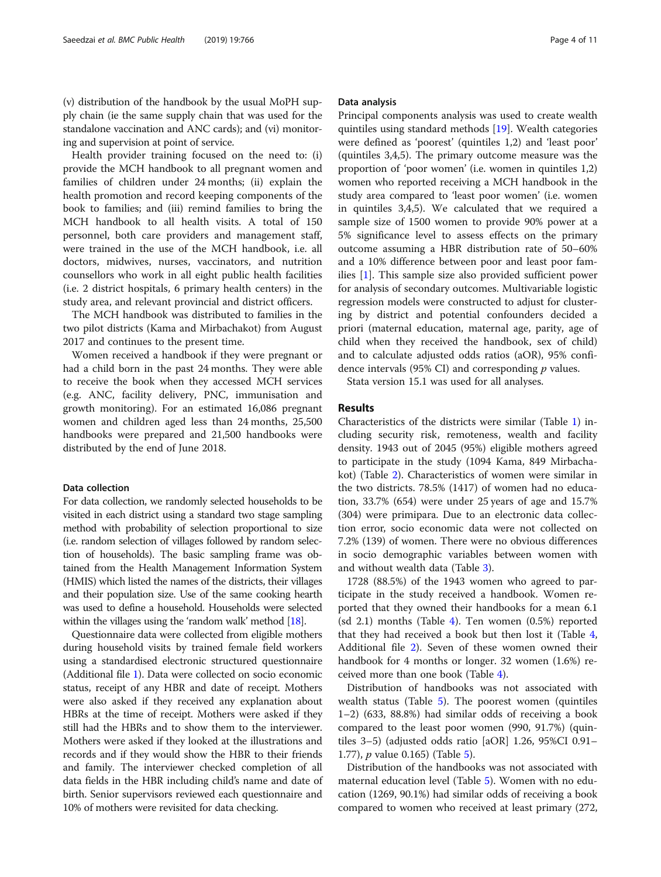(v) distribution of the handbook by the usual MoPH supply chain (ie the same supply chain that was used for the standalone vaccination and ANC cards); and (vi) monitoring and supervision at point of service.

Health provider training focused on the need to: (i) provide the MCH handbook to all pregnant women and families of children under 24 months; (ii) explain the health promotion and record keeping components of the book to families; and (iii) remind families to bring the MCH handbook to all health visits. A total of 150 personnel, both care providers and management staff, were trained in the use of the MCH handbook, i.e. all doctors, midwives, nurses, vaccinators, and nutrition counsellors who work in all eight public health facilities (i.e. 2 district hospitals, 6 primary health centers) in the study area, and relevant provincial and district officers.

The MCH handbook was distributed to families in the two pilot districts (Kama and Mirbachakot) from August 2017 and continues to the present time.

Women received a handbook if they were pregnant or had a child born in the past 24 months. They were able to receive the book when they accessed MCH services (e.g. ANC, facility delivery, PNC, immunisation and growth monitoring). For an estimated 16,086 pregnant women and children aged less than 24 months, 25,500 handbooks were prepared and 21,500 handbooks were distributed by the end of June 2018.

#### Data collection

For data collection, we randomly selected households to be visited in each district using a standard two stage sampling method with probability of selection proportional to size (i.e. random selection of villages followed by random selection of households). The basic sampling frame was obtained from the Health Management Information System (HMIS) which listed the names of the districts, their villages and their population size. Use of the same cooking hearth was used to define a household. Households were selected within the villages using the 'random walk' method [[18](#page-10-0)].

Questionnaire data were collected from eligible mothers during household visits by trained female field workers using a standardised electronic structured questionnaire (Additional file [1\)](#page-9-0). Data were collected on socio economic status, receipt of any HBR and date of receipt. Mothers were also asked if they received any explanation about HBRs at the time of receipt. Mothers were asked if they still had the HBRs and to show them to the interviewer. Mothers were asked if they looked at the illustrations and records and if they would show the HBR to their friends and family. The interviewer checked completion of all data fields in the HBR including child's name and date of birth. Senior supervisors reviewed each questionnaire and 10% of mothers were revisited for data checking.

## Data analysis

Principal components analysis was used to create wealth quintiles using standard methods [\[19\]](#page-10-0). Wealth categories were defined as 'poorest' (quintiles 1,2) and 'least poor' (quintiles 3,4,5). The primary outcome measure was the proportion of 'poor women' (i.e. women in quintiles 1,2) women who reported receiving a MCH handbook in the study area compared to 'least poor women' (i.e. women in quintiles 3,4,5). We calculated that we required a sample size of 1500 women to provide 90% power at a 5% significance level to assess effects on the primary outcome assuming a HBR distribution rate of 50–60% and a 10% difference between poor and least poor families [\[1](#page-9-0)]. This sample size also provided sufficient power for analysis of secondary outcomes. Multivariable logistic regression models were constructed to adjust for clustering by district and potential confounders decided a priori (maternal education, maternal age, parity, age of child when they received the handbook, sex of child) and to calculate adjusted odds ratios (aOR), 95% confidence intervals (95% CI) and corresponding  $p$  values.

Stata version 15.1 was used for all analyses.

## Results

Characteristics of the districts were similar (Table [1](#page-2-0)) including security risk, remoteness, wealth and facility density. 1943 out of 2045 (95%) eligible mothers agreed to participate in the study (1094 Kama, 849 Mirbachakot) (Table [2\)](#page-4-0). Characteristics of women were similar in the two districts. 78.5% (1417) of women had no education, 33.7% (654) were under 25 years of age and 15.7% (304) were primipara. Due to an electronic data collection error, socio economic data were not collected on 7.2% (139) of women. There were no obvious differences in socio demographic variables between women with and without wealth data (Table [3](#page-5-0)).

1728 (88.5%) of the 1943 women who agreed to participate in the study received a handbook. Women reported that they owned their handbooks for a mean 6.1 (sd 2.1) months (Table [4](#page-6-0)). Ten women (0.5%) reported that they had received a book but then lost it (Table [4](#page-6-0), Additional file [2\)](#page-9-0). Seven of these women owned their handbook for 4 months or longer. 32 women (1.6%) received more than one book (Table [4\)](#page-6-0).

Distribution of handbooks was not associated with wealth status (Table [5\)](#page-8-0). The poorest women (quintiles 1–2) (633, 88.8%) had similar odds of receiving a book compared to the least poor women (990, 91.7%) (quintiles 3–5) (adjusted odds ratio [aOR] 1.26, 95%CI 0.91– 1.77), p value 0.165) (Table [5](#page-8-0)).

Distribution of the handbooks was not associated with maternal education level (Table [5](#page-8-0)). Women with no education (1269, 90.1%) had similar odds of receiving a book compared to women who received at least primary (272,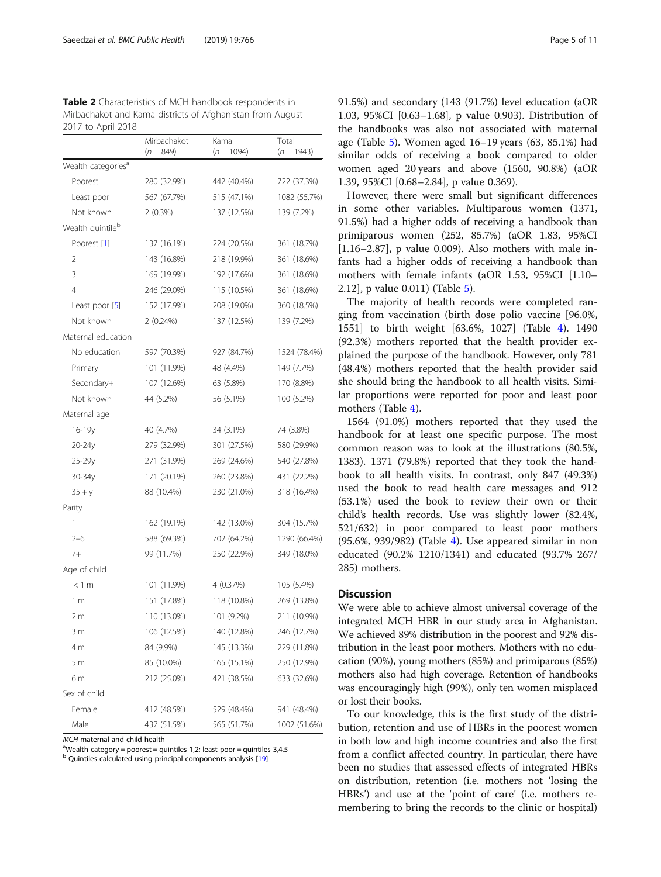<span id="page-4-0"></span>

| <b>Table 2</b> Characteristics of MCH handbook respondents in |
|---------------------------------------------------------------|
| Mirbachakot and Kama districts of Afghanistan from August     |
| 2017 to April 2018                                            |

|                                | Mirbachakot<br>$(n = 849)$ | Kama<br>$(n = 1094)$ | Total<br>$(n = 1943)$ |
|--------------------------------|----------------------------|----------------------|-----------------------|
| Wealth categories <sup>a</sup> |                            |                      |                       |
| Poorest                        | 280 (32.9%)                | 442 (40.4%)          | 722 (37.3%)           |
| Least poor                     | 567 (67.7%)                | 515 (47.1%)          | 1082 (55.7%)          |
| Not known                      | $2(0.3\%)$                 | 137 (12.5%)          | 139 (7.2%)            |
| Wealth quintile <sup>b</sup>   |                            |                      |                       |
| Poorest [1]                    | 137 (16.1%)                | 224 (20.5%)          | 361 (18.7%)           |
| 2                              | 143 (16.8%)                | 218 (19.9%)          | 361 (18.6%)           |
| 3                              | 169 (19.9%)                | 192 (17.6%)          | 361 (18.6%)           |
| 4                              | 246 (29.0%)                | 115 (10.5%)          | 361 (18.6%)           |
| Least poor [5]                 | 152 (17.9%)                | 208 (19.0%)          | 360 (18.5%)           |
| Not known                      | 2(0.24%)                   | 137 (12.5%)          | 139 (7.2%)            |
| Maternal education             |                            |                      |                       |
| No education                   | 597 (70.3%)                | 927 (84.7%)          | 1524 (78.4%)          |
| Primary                        | 101 (11.9%)                | 48 (4.4%)            | 149 (7.7%)            |
| Secondary+                     | 107 (12.6%)                | 63 (5.8%)            | 170 (8.8%)            |
| Not known                      | 44 (5.2%)                  | 56 (5.1%)            | 100 (5.2%)            |
| Maternal age                   |                            |                      |                       |
| 16-19y                         | 40 (4.7%)                  | 34 (3.1%)            | 74 (3.8%)             |
| 20-24y                         | 279 (32.9%)                | 301 (27.5%)          | 580 (29.9%)           |
| 25-29y                         | 271 (31.9%)                | 269 (24.6%)          | 540 (27.8%)           |
| 30-34y                         | 171 (20.1%)                | 260 (23.8%)          | 431 (22.2%)           |
| $35 + y$                       | 88 (10.4%)                 | 230 (21.0%)          | 318 (16.4%)           |
| Parity                         |                            |                      |                       |
| 1                              | 162 (19.1%)                | 142 (13.0%)          | 304 (15.7%)           |
| $2 - 6$                        | 588 (69.3%)                | 702 (64.2%)          | 1290 (66.4%)          |
| $7+$                           | 99 (11.7%)                 | 250 (22.9%)          | 349 (18.0%)           |
| Age of child                   |                            |                      |                       |
| < 1 m                          | 101 (11.9%)                | 4 (0.37%)            | 105 (5.4%)            |
| 1 m                            | 151 (17.8%)                | 118 (10.8%)          | 269 (13.8%)           |
| 2 m                            | 110 (13.0%)                | 101 (9.2%)           | 211 (10.9%)           |
| 3 <sub>m</sub>                 | 106 (12.5%)                | 140 (12.8%)          | 246 (12.7%)           |
| 4 m                            | 84 (9.9%)                  | 145 (13.3%)          | 229 (11.8%)           |
| 5 <sub>m</sub>                 | 85 (10.0%)                 | 165 (15.1%)          | 250 (12.9%)           |
| 6 m                            | 212 (25.0%)                | 421 (38.5%)          | 633 (32.6%)           |
| Sex of child                   |                            |                      |                       |
| Female                         | 412 (48.5%)                | 529 (48.4%)          | 941 (48.4%)           |
| Male                           | 437 (51.5%)                | 565 (51.7%)          | 1002 (51.6%)          |

MCH maternal and child health

<sup>a</sup>Wealth category = poorest = quintiles 1,2; least poor = quintiles 3,4,5

<sup>b</sup> Quintiles calculated using principal components analysis [[19\]](#page-10-0)

91.5%) and secondary (143 (91.7%) level education (aOR 1.03, 95%CI [0.63–1.68], p value 0.903). Distribution of the handbooks was also not associated with maternal age (Table [5](#page-8-0)). Women aged 16–19 years (63, 85.1%) had similar odds of receiving a book compared to older women aged 20 years and above (1560, 90.8%) (aOR 1.39, 95%CI [0.68–2.84], p value 0.369).

However, there were small but significant differences in some other variables. Multiparous women (1371, 91.5%) had a higher odds of receiving a handbook than primiparous women (252, 85.7%) (aOR 1.83, 95%CI  $[1.16-2.87]$ , p value 0.009). Also mothers with male infants had a higher odds of receiving a handbook than mothers with female infants (aOR 1.53, 95%CI [1.10– 2.12], p value 0.011) (Table [5](#page-8-0)).

The majority of health records were completed ranging from vaccination (birth dose polio vaccine [96.0%, 1551] to birth weight [63.6%, 1027] (Table [4\)](#page-6-0). 1490 (92.3%) mothers reported that the health provider explained the purpose of the handbook. However, only 781 (48.4%) mothers reported that the health provider said she should bring the handbook to all health visits. Similar proportions were reported for poor and least poor mothers (Table [4\)](#page-6-0).

1564 (91.0%) mothers reported that they used the handbook for at least one specific purpose. The most common reason was to look at the illustrations (80.5%, 1383). 1371 (79.8%) reported that they took the handbook to all health visits. In contrast, only 847 (49.3%) used the book to read health care messages and 912 (53.1%) used the book to review their own or their child's health records. Use was slightly lower (82.4%, 521/632) in poor compared to least poor mothers (95.6%, 939/982) (Table [4](#page-6-0)). Use appeared similar in non educated (90.2% 1210/1341) and educated (93.7% 267/ 285) mothers.

## **Discussion**

We were able to achieve almost universal coverage of the integrated MCH HBR in our study area in Afghanistan. We achieved 89% distribution in the poorest and 92% distribution in the least poor mothers. Mothers with no education (90%), young mothers (85%) and primiparous (85%) mothers also had high coverage. Retention of handbooks was encouragingly high (99%), only ten women misplaced or lost their books.

To our knowledge, this is the first study of the distribution, retention and use of HBRs in the poorest women in both low and high income countries and also the first from a conflict affected country. In particular, there have been no studies that assessed effects of integrated HBRs on distribution, retention (i.e. mothers not 'losing the HBRs') and use at the 'point of care' (i.e. mothers remembering to bring the records to the clinic or hospital)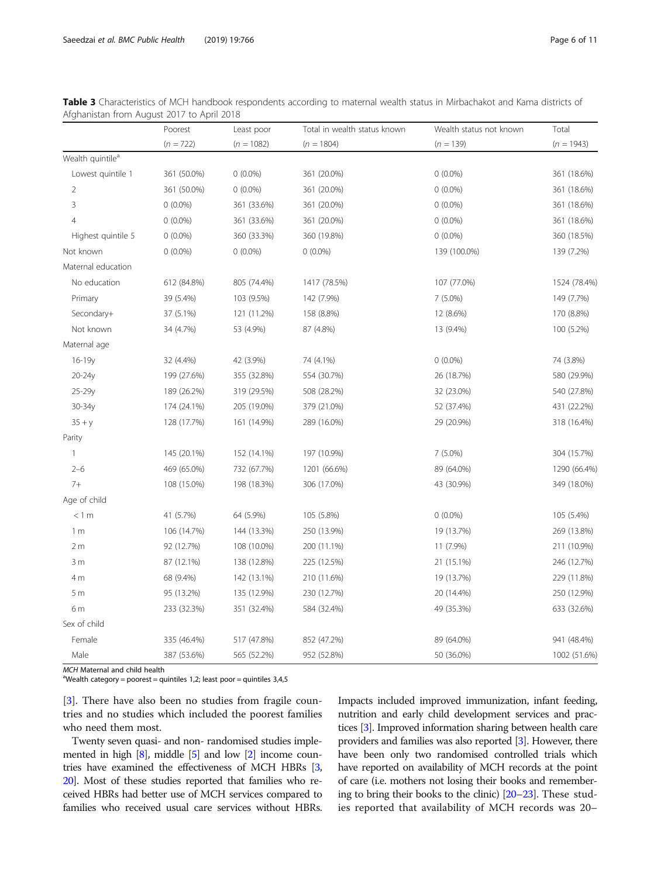|                              | Poorest     | Least poor   | Total in wealth status known | Wealth status not known | Total        |
|------------------------------|-------------|--------------|------------------------------|-------------------------|--------------|
|                              | $(n = 722)$ | $(n = 1082)$ | $(n = 1804)$                 | $(n = 139)$             | $(n = 1943)$ |
| Wealth quintile <sup>a</sup> |             |              |                              |                         |              |
| Lowest quintile 1            | 361 (50.0%) | $0(0.0\%)$   | 361 (20.0%)                  | $0(0.0\%)$              | 361 (18.6%)  |
| 2                            | 361 (50.0%) | $0(0.0\%)$   | 361 (20.0%)                  | $0(0.0\%)$              | 361 (18.6%)  |
| 3                            | $0(0.0\%)$  | 361 (33.6%)  | 361 (20.0%)                  | $0(0.0\%)$              | 361 (18.6%)  |
| $\overline{4}$               | $0(0.0\%)$  | 361 (33.6%)  | 361 (20.0%)                  | $0(0.0\%)$              | 361 (18.6%)  |
| Highest quintile 5           | $0(0.0\%)$  | 360 (33.3%)  | 360 (19.8%)                  | $0(0.0\%)$              | 360 (18.5%)  |
| Not known                    | $0(0.0\%)$  | $0(0.0\%)$   | $0(0.0\%)$                   | 139 (100.0%)            | 139 (7.2%)   |
| Maternal education           |             |              |                              |                         |              |
| No education                 | 612 (84.8%) | 805 (74.4%)  | 1417 (78.5%)                 | 107 (77.0%)             | 1524 (78.4%) |
| Primary                      | 39 (5.4%)   | 103 (9.5%)   | 142 (7.9%)                   | 7 (5.0%)                | 149 (7.7%)   |
| Secondary+                   | 37 (5.1%)   | 121 (11.2%)  | 158 (8.8%)                   | 12 (8.6%)               | 170 (8.8%)   |
| Not known                    | 34 (4.7%)   | 53 (4.9%)    | 87 (4.8%)                    | 13 (9.4%)               | 100 (5.2%)   |
| Maternal age                 |             |              |                              |                         |              |
| $16 - 19y$                   | 32 (4.4%)   | 42 (3.9%)    | 74 (4.1%)                    | $0(0.0\%)$              | 74 (3.8%)    |
| $20-24y$                     | 199 (27.6%) | 355 (32.8%)  | 554 (30.7%)                  | 26 (18.7%)              | 580 (29.9%)  |
| $25 - 29y$                   | 189 (26.2%) | 319 (29.5%)  | 508 (28.2%)                  | 32 (23.0%)              | 540 (27.8%)  |
| 30-34y                       | 174 (24.1%) | 205 (19.0%)  | 379 (21.0%)                  | 52 (37.4%)              | 431 (22.2%)  |
| $35 + y$                     | 128 (17.7%) | 161 (14.9%)  | 289 (16.0%)                  | 29 (20.9%)              | 318 (16.4%)  |
| Parity                       |             |              |                              |                         |              |
| $\mathbf{1}$                 | 145 (20.1%) | 152 (14.1%)  | 197 (10.9%)                  | $7(5.0\%)$              | 304 (15.7%)  |
| $2 - 6$                      | 469 (65.0%) | 732 (67.7%)  | 1201 (66.6%)                 | 89 (64.0%)              | 1290 (66.4%) |
| $7+$                         | 108 (15.0%) | 198 (18.3%)  | 306 (17.0%)                  | 43 (30.9%)              | 349 (18.0%)  |
| Age of child                 |             |              |                              |                         |              |
| < 1 m                        | 41 (5.7%)   | 64 (5.9%)    | 105 (5.8%)                   | $0(0.0\%)$              | 105 (5.4%)   |
| 1 <sub>m</sub>               | 106 (14.7%) | 144 (13.3%)  | 250 (13.9%)                  | 19 (13.7%)              | 269 (13.8%)  |
| 2 <sub>m</sub>               | 92 (12.7%)  | 108 (10.0%)  | 200 (11.1%)                  | 11 (7.9%)               | 211 (10.9%)  |
| 3m                           | 87 (12.1%)  | 138 (12.8%)  | 225 (12.5%)                  | 21 (15.1%)              | 246 (12.7%)  |
| 4 m                          | 68 (9.4%)   | 142 (13.1%)  | 210 (11.6%)                  | 19 (13.7%)              | 229 (11.8%)  |
| 5m                           | 95 (13.2%)  | 135 (12.9%)  | 230 (12.7%)                  | 20 (14.4%)              | 250 (12.9%)  |
| 6 m                          | 233 (32.3%) | 351 (32.4%)  | 584 (32.4%)                  | 49 (35.3%)              | 633 (32.6%)  |
| Sex of child                 |             |              |                              |                         |              |
| Female                       | 335 (46.4%) | 517 (47.8%)  | 852 (47.2%)                  | 89 (64.0%)              | 941 (48.4%)  |
| Male                         | 387 (53.6%) | 565 (52.2%)  | 952 (52.8%)                  | 50 (36.0%)              | 1002 (51.6%) |

<span id="page-5-0"></span>Table 3 Characteristics of MCH handbook respondents according to maternal wealth status in Mirbachakot and Kama districts of Afghanistan from August 2017 to April 2018

MCH Maternal and child health

<sup>a</sup>Wealth category = poorest = quintiles 1,2; least poor = quintiles 3,4,5

[[3\]](#page-9-0). There have also been no studies from fragile countries and no studies which included the poorest families who need them most.

Twenty seven quasi- and non- randomised studies implemented in high [\[8](#page-10-0)], middle [[5](#page-9-0)] and low [\[2\]](#page-9-0) income countries have examined the effectiveness of MCH HBRs [[3](#page-9-0), [20](#page-10-0)]. Most of these studies reported that families who received HBRs had better use of MCH services compared to families who received usual care services without HBRs.

Impacts included improved immunization, infant feeding, nutrition and early child development services and practices [[3](#page-9-0)]. Improved information sharing between health care providers and families was also reported [\[3\]](#page-9-0). However, there have been only two randomised controlled trials which have reported on availability of MCH records at the point of care (i.e. mothers not losing their books and remembering to bring their books to the clinic) [\[20](#page-10-0)–[23\]](#page-10-0). These studies reported that availability of MCH records was 20–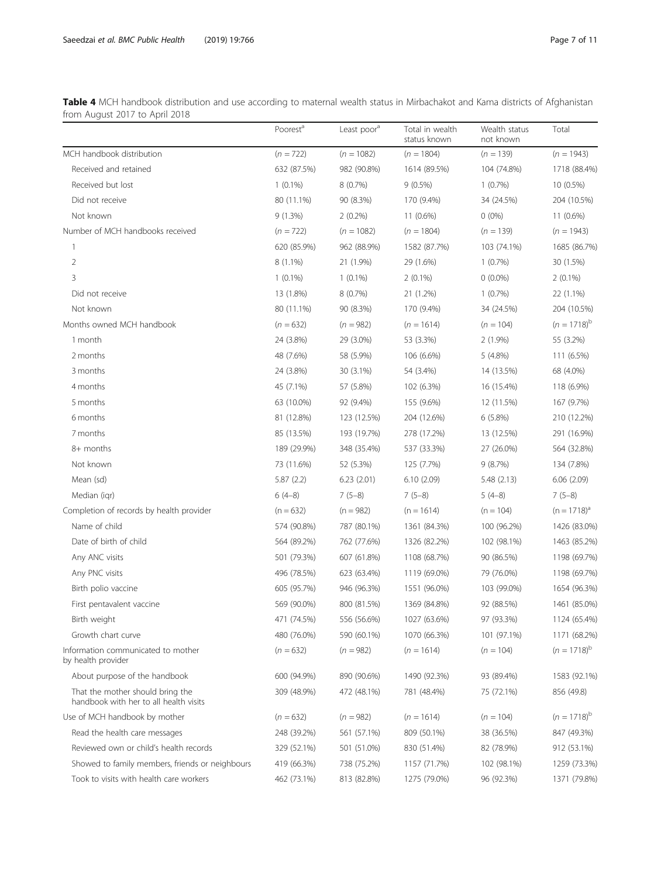<span id="page-6-0"></span>Table 4 MCH handbook distribution and use according to maternal wealth status in Mirbachakot and Kama districts of Afghanistan from August 2017 to April 2018

|                                                                            | Poorest <sup>a</sup> | Least poor <sup>d</sup> | Total in wealth<br>status known | Wealth status<br>not known | Total            |
|----------------------------------------------------------------------------|----------------------|-------------------------|---------------------------------|----------------------------|------------------|
| MCH handbook distribution                                                  | $(n = 722)$          | $(n = 1082)$            | $(n = 1804)$                    | $(n = 139)$                | $(n = 1943)$     |
| Received and retained                                                      | 632 (87.5%)          | 982 (90.8%)             | 1614 (89.5%)                    | 104 (74.8%)                | 1718 (88.4%)     |
| Received but lost                                                          | $1(0.1\%)$           | $8(0.7\%)$              | $9(0.5\%)$                      | $1(0.7\%)$                 | 10 (0.5%)        |
| Did not receive                                                            | 80 (11.1%)           | 90 (8.3%)               | 170 (9.4%)                      | 34 (24.5%)                 | 204 (10.5%)      |
| Not known                                                                  | 9(1.3%)              | $2(0.2\%)$              | $11(0.6\%)$                     | $0(0\%)$                   | $11(0.6\%)$      |
| Number of MCH handbooks received                                           | $(n = 722)$          | $(n = 1082)$            | $(n = 1804)$                    | $(n = 139)$                | $(n = 1943)$     |
| 1                                                                          | 620 (85.9%)          | 962 (88.9%)             | 1582 (87.7%)                    | 103 (74.1%)                | 1685 (86.7%)     |
| 2                                                                          | $8(1.1\%)$           | 21 (1.9%)               | 29 (1.6%)                       | 1(0.7%)                    | 30 (1.5%)        |
| 3                                                                          | $1(0.1\%)$           | $1(0.1\%)$              | $2(0.1\%)$                      | $0(0.0\%)$                 | $2(0.1\%)$       |
| Did not receive                                                            | 13 (1.8%)            | $8(0.7\%)$              | 21 (1.2%)                       | 1(0.7%)                    | 22 (1.1%)        |
| Not known                                                                  | 80 (11.1%)           | 90 (8.3%)               | 170 (9.4%)                      | 34 (24.5%)                 | 204 (10.5%)      |
| Months owned MCH handbook                                                  | $(n = 632)$          | $(n = 982)$             | $(n = 1614)$                    | $(n = 104)$                | $(n = 1718)^{b}$ |
| 1 month                                                                    | 24 (3.8%)            | 29 (3.0%)               | 53 (3.3%)                       | $2(1.9\%)$                 | 55 (3.2%)        |
| 2 months                                                                   | 48 (7.6%)            | 58 (5.9%)               | 106 (6.6%)                      | 5(4.8%)                    | 111 (6.5%)       |
| 3 months                                                                   | 24 (3.8%)            | 30 (3.1%)               | 54 (3.4%)                       | 14 (13.5%)                 | 68 (4.0%)        |
| 4 months                                                                   | 45 (7.1%)            | 57 (5.8%)               | 102 (6.3%)                      | 16 (15.4%)                 | 118 (6.9%)       |
| 5 months                                                                   | 63 (10.0%)           | 92 (9.4%)               | 155 (9.6%)                      | 12 (11.5%)                 | 167 (9.7%)       |
| 6 months                                                                   | 81 (12.8%)           | 123 (12.5%)             | 204 (12.6%)                     | 6(5.8%)                    | 210 (12.2%)      |
| 7 months                                                                   | 85 (13.5%)           | 193 (19.7%)             | 278 (17.2%)                     | 13 (12.5%)                 | 291 (16.9%)      |
| 8+ months                                                                  | 189 (29.9%)          | 348 (35.4%)             | 537 (33.3%)                     | 27 (26.0%)                 | 564 (32.8%)      |
| Not known                                                                  | 73 (11.6%)           | 52 (5.3%)               | 125 (7.7%)                      | 9(8.7%)                    | 134 (7.8%)       |
| Mean (sd)                                                                  | 5.87(2.2)            | 6.23(2.01)              | 6.10(2.09)                      | 5.48(2.13)                 | 6.06(2.09)       |
| Median (igr)                                                               | $6(4-8)$             | $7(5-8)$                | $7(5-8)$                        | $5(4-8)$                   | $7(5-8)$         |
| Completion of records by health provider                                   | $(n = 632)$          | $(n = 982)$             | $(n = 1614)$                    | $(n = 104)$                | $(n = 1718)^d$   |
| Name of child                                                              | 574 (90.8%)          | 787 (80.1%)             | 1361 (84.3%)                    | 100 (96.2%)                | 1426 (83.0%)     |
| Date of birth of child                                                     | 564 (89.2%)          | 762 (77.6%)             | 1326 (82.2%)                    | 102 (98.1%)                | 1463 (85.2%)     |
| Any ANC visits                                                             | 501 (79.3%)          | 607 (61.8%)             | 1108 (68.7%)                    | 90 (86.5%)                 | 1198 (69.7%)     |
| Any PNC visits                                                             | 496 (78.5%)          | 623 (63.4%)             | 1119 (69.0%)                    | 79 (76.0%)                 | 1198 (69.7%)     |
| Birth polio vaccine                                                        | 605 (95.7%)          | 946 (96.3%)             | 1551 (96.0%)                    | 103 (99.0%)                | 1654 (96.3%)     |
| First pentavalent vaccine                                                  | 569 (90.0%)          | 800 (81.5%)             | 1369 (84.8%)                    | 92 (88.5%)                 | 1461 (85.0%)     |
| Birth weight                                                               | 471 (74.5%)          | 556 (56.6%)             | 1027 (63.6%)                    | 97 (93.3%)                 | 1124 (65.4%)     |
| Growth chart curve                                                         | 480 (76.0%)          | 590 (60.1%)             | 1070 (66.3%)                    | 101 (97.1%)                | 1171 (68.2%)     |
| Information communicated to mother<br>by health provider                   | $(n = 632)$          | $(n = 982)$             | $(n = 1614)$                    | $(n = 104)$                | $(n = 1718)^{b}$ |
| About purpose of the handbook                                              | 600 (94.9%)          | 890 (90.6%)             | 1490 (92.3%)                    | 93 (89.4%)                 | 1583 (92.1%)     |
| That the mother should bring the<br>handbook with her to all health visits | 309 (48.9%)          | 472 (48.1%)             | 781 (48.4%)                     | 75 (72.1%)                 | 856 (49.8)       |
| Use of MCH handbook by mother                                              | $(n = 632)$          | $(n = 982)$             | $(n = 1614)$                    | $(n = 104)$                | $(n = 1718)^{b}$ |
| Read the health care messages                                              | 248 (39.2%)          | 561 (57.1%)             | 809 (50.1%)                     | 38 (36.5%)                 | 847 (49.3%)      |
| Reviewed own or child's health records                                     | 329 (52.1%)          | 501 (51.0%)             | 830 (51.4%)                     | 82 (78.9%)                 | 912 (53.1%)      |
| Showed to family members, friends or neighbours                            | 419 (66.3%)          | 738 (75.2%)             | 1157 (71.7%)                    | 102 (98.1%)                | 1259 (73.3%)     |
| Took to visits with health care workers                                    | 462 (73.1%)          | 813 (82.8%)             | 1275 (79.0%)                    | 96 (92.3%)                 | 1371 (79.8%)     |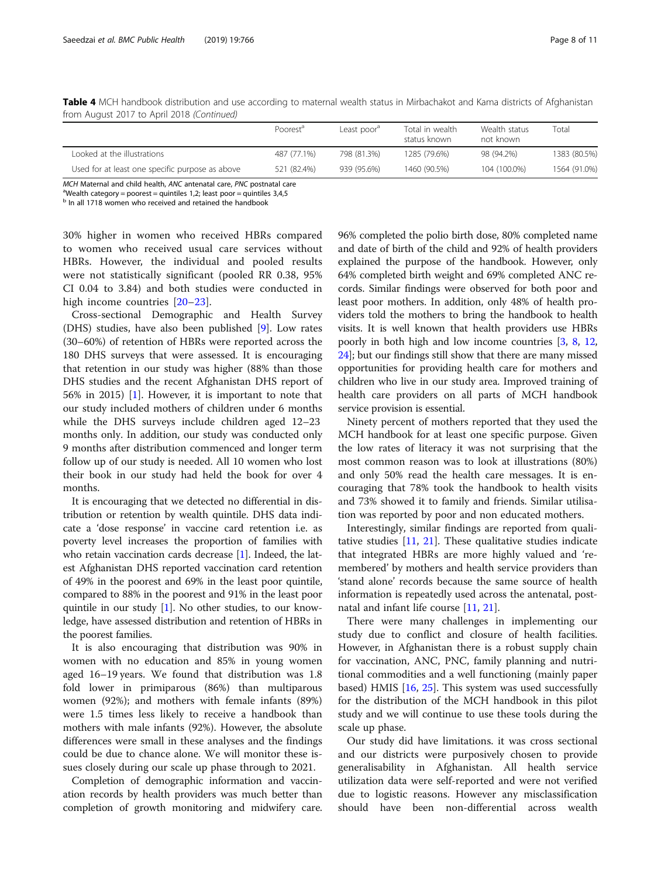|                                                 | Poorest <sup>d</sup> | Least poor <sup>®</sup> | Total in wealth<br>status known | Wealth status<br>not known | Гоtal        |
|-------------------------------------------------|----------------------|-------------------------|---------------------------------|----------------------------|--------------|
| Looked at the illustrations                     | 487 (77.1%)          | 798 (81.3%)             | 1285 (79.6%)                    | 98 (94.2%)                 | 1383 (80.5%) |
| Used for at least one specific purpose as above | 521 (82.4%)          | 939 (95.6%)             | 1460 (90.5%)                    | 104 (100.0%)               | 1564 (91.0%) |

Table 4 MCH handbook distribution and use according to maternal wealth status in Mirbachakot and Kama districts of Afghanistan from August 2017 to April 2018 (Continued)

MCH Maternal and child health, ANC antenatal care, PNC postnatal care

<sup>a</sup>Wealth category = poorest = quintiles 1,2; least poor = quintiles 3,4,5

b In all 1718 women who received and retained the handbook

30% higher in women who received HBRs compared to women who received usual care services without HBRs. However, the individual and pooled results were not statistically significant (pooled RR 0.38, 95% CI 0.04 to 3.84) and both studies were conducted in high income countries [\[20](#page-10-0)–[23](#page-10-0)].

Cross-sectional Demographic and Health Survey (DHS) studies, have also been published [[9\]](#page-10-0). Low rates (30–60%) of retention of HBRs were reported across the 180 DHS surveys that were assessed. It is encouraging that retention in our study was higher (88% than those DHS studies and the recent Afghanistan DHS report of 56% in 2015) [\[1](#page-9-0)]. However, it is important to note that our study included mothers of children under 6 months while the DHS surveys include children aged 12–23 months only. In addition, our study was conducted only 9 months after distribution commenced and longer term follow up of our study is needed. All 10 women who lost their book in our study had held the book for over 4 months.

It is encouraging that we detected no differential in distribution or retention by wealth quintile. DHS data indicate a 'dose response' in vaccine card retention i.e. as poverty level increases the proportion of families with who retain vaccination cards decrease [\[1\]](#page-9-0). Indeed, the latest Afghanistan DHS reported vaccination card retention of 49% in the poorest and 69% in the least poor quintile, compared to 88% in the poorest and 91% in the least poor quintile in our study [[1\]](#page-9-0). No other studies, to our knowledge, have assessed distribution and retention of HBRs in the poorest families.

It is also encouraging that distribution was 90% in women with no education and 85% in young women aged 16–19 years. We found that distribution was 1.8 fold lower in primiparous (86%) than multiparous women (92%); and mothers with female infants (89%) were 1.5 times less likely to receive a handbook than mothers with male infants (92%). However, the absolute differences were small in these analyses and the findings could be due to chance alone. We will monitor these issues closely during our scale up phase through to 2021.

Completion of demographic information and vaccination records by health providers was much better than completion of growth monitoring and midwifery care. 96% completed the polio birth dose, 80% completed name and date of birth of the child and 92% of health providers explained the purpose of the handbook. However, only 64% completed birth weight and 69% completed ANC records. Similar findings were observed for both poor and least poor mothers. In addition, only 48% of health providers told the mothers to bring the handbook to health visits. It is well known that health providers use HBRs poorly in both high and low income countries [\[3,](#page-9-0) [8,](#page-10-0) [12](#page-10-0), [24](#page-10-0)]; but our findings still show that there are many missed opportunities for providing health care for mothers and children who live in our study area. Improved training of health care providers on all parts of MCH handbook service provision is essential.

Ninety percent of mothers reported that they used the MCH handbook for at least one specific purpose. Given the low rates of literacy it was not surprising that the most common reason was to look at illustrations (80%) and only 50% read the health care messages. It is encouraging that 78% took the handbook to health visits and 73% showed it to family and friends. Similar utilisation was reported by poor and non educated mothers.

Interestingly, similar findings are reported from qualitative studies [[11,](#page-10-0) [21](#page-10-0)]. These qualitative studies indicate that integrated HBRs are more highly valued and 'remembered' by mothers and health service providers than 'stand alone' records because the same source of health information is repeatedly used across the antenatal, postnatal and infant life course [[11](#page-10-0), [21](#page-10-0)].

There were many challenges in implementing our study due to conflict and closure of health facilities. However, in Afghanistan there is a robust supply chain for vaccination, ANC, PNC, family planning and nutritional commodities and a well functioning (mainly paper based) HMIS [\[16](#page-10-0), [25](#page-10-0)]. This system was used successfully for the distribution of the MCH handbook in this pilot study and we will continue to use these tools during the scale up phase.

Our study did have limitations. it was cross sectional and our districts were purposively chosen to provide generalisability in Afghanistan. All health service utilization data were self-reported and were not verified due to logistic reasons. However any misclassification should have been non-differential across wealth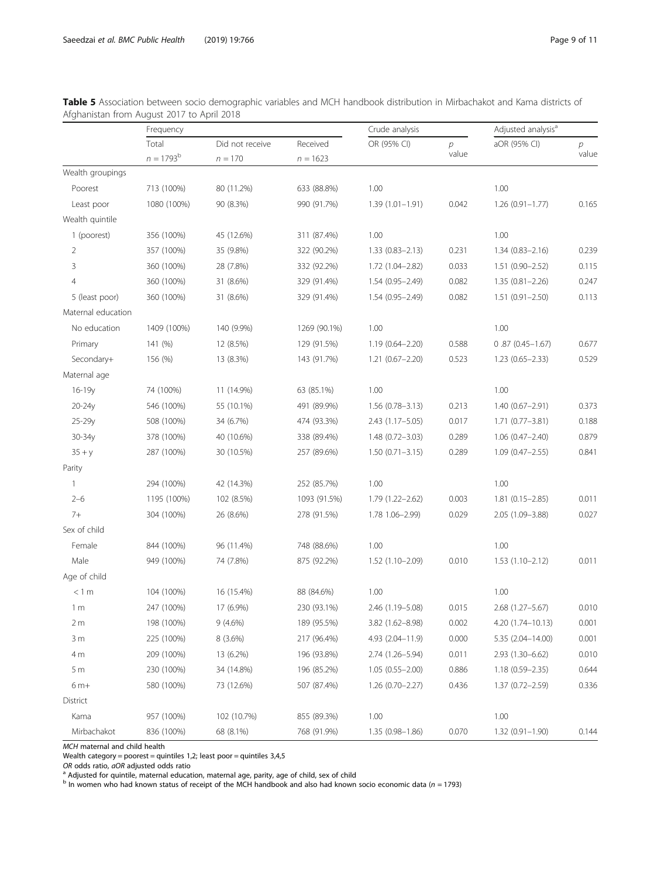|                    | Frequency          |                 |              | Crude analysis      |                | Adjusted analysis <sup>a</sup> |       |
|--------------------|--------------------|-----------------|--------------|---------------------|----------------|--------------------------------|-------|
|                    | Total              | Did not receive | Received     | OR (95% CI)         | $\overline{p}$ | aOR (95% CI)                   | р     |
|                    | $n = 1793^{\rm b}$ | $n = 170$       | $n = 1623$   |                     | value          |                                | value |
| Wealth groupings   |                    |                 |              |                     |                |                                |       |
| Poorest            | 713 (100%)         | 80 (11.2%)      | 633 (88.8%)  | 1.00                |                | 1.00                           |       |
| Least poor         | 1080 (100%)        | 90 (8.3%)       | 990 (91.7%)  | $1.39(1.01 - 1.91)$ | 0.042          | $1.26(0.91 - 1.77)$            | 0.165 |
| Wealth quintile    |                    |                 |              |                     |                |                                |       |
| 1 (poorest)        | 356 (100%)         | 45 (12.6%)      | 311 (87.4%)  | 1.00                |                | 1.00                           |       |
| 2                  | 357 (100%)         | 35 (9.8%)       | 322 (90.2%)  | $1.33(0.83 - 2.13)$ | 0.231          | $1.34(0.83 - 2.16)$            | 0.239 |
| 3                  | 360 (100%)         | 28 (7.8%)       | 332 (92.2%)  | 1.72 (1.04-2.82)    | 0.033          | $1.51(0.90 - 2.52)$            | 0.115 |
| 4                  | 360 (100%)         | 31 (8.6%)       | 329 (91.4%)  | $1.54(0.95 - 2.49)$ | 0.082          | 1.35 (0.81-2.26)               | 0.247 |
| 5 (least poor)     | 360 (100%)         | 31 (8.6%)       | 329 (91.4%)  | $1.54(0.95 - 2.49)$ | 0.082          | $1.51(0.91 - 2.50)$            | 0.113 |
| Maternal education |                    |                 |              |                     |                |                                |       |
| No education       | 1409 (100%)        | 140 (9.9%)      | 1269 (90.1%) | 1.00                |                | 1.00                           |       |
| Primary            | 141 (%)            | 12 (8.5%)       | 129 (91.5%)  | $1.19(0.64 - 2.20)$ | 0.588          | $0.87(0.45 - 1.67)$            | 0.677 |
| Secondary+         | 156 (%)            | 13 (8.3%)       | 143 (91.7%)  | $1.21(0.67 - 2.20)$ | 0.523          | $1.23(0.65 - 2.33)$            | 0.529 |
| Maternal age       |                    |                 |              |                     |                |                                |       |
| 16-19y             | 74 (100%)          | 11 (14.9%)      | 63 (85.1%)   | 1.00                |                | 1.00                           |       |
| 20-24y             | 546 (100%)         | 55 (10.1%)      | 491 (89.9%)  | $1.56(0.78 - 3.13)$ | 0.213          | $1.40(0.67 - 2.91)$            | 0.373 |
| $25 - 29v$         | 508 (100%)         | 34 (6.7%)       | 474 (93.3%)  | 2.43 (1.17 - 5.05)  | 0.017          | $1.71(0.77 - 3.81)$            | 0.188 |
| 30-34y             | 378 (100%)         | 40 (10.6%)      | 338 (89.4%)  | $1.48(0.72 - 3.03)$ | 0.289          | $1.06(0.47 - 2.40)$            | 0.879 |
| $35 + y$           | 287 (100%)         | 30 (10.5%)      | 257 (89.6%)  | $1.50(0.71 - 3.15)$ | 0.289          | $1.09(0.47 - 2.55)$            | 0.841 |
| Parity             |                    |                 |              |                     |                |                                |       |
| $\mathbf{1}$       | 294 (100%)         | 42 (14.3%)      | 252 (85.7%)  | 1.00                |                | 1.00                           |       |
| $2 - 6$            | 1195 (100%)        | 102 (8.5%)      | 1093 (91.5%) | $1.79(1.22 - 2.62)$ | 0.003          | $1.81(0.15 - 2.85)$            | 0.011 |
| $7+$               | 304 (100%)         | 26 (8.6%)       | 278 (91.5%)  | 1.78 1.06-2.99)     | 0.029          | 2.05 (1.09-3.88)               | 0.027 |
| Sex of child       |                    |                 |              |                     |                |                                |       |
| Female             | 844 (100%)         | 96 (11.4%)      | 748 (88.6%)  | 1.00                |                | 1.00                           |       |
| Male               | 949 (100%)         | 74 (7.8%)       | 875 (92.2%)  | 1.52 (1.10-2.09)    | 0.010          | $1.53(1.10 - 2.12)$            | 0.011 |
| Age of child       |                    |                 |              |                     |                |                                |       |
| < 1 m              | 104 (100%)         | 16 (15.4%)      | 88 (84.6%)   | 1.00                |                | 1.00                           |       |
| 1 <sub>m</sub>     | 247 (100%)         | 17 (6.9%)       | 230 (93.1%)  | 2.46 (1.19-5.08)    | 0.015          | 2.68 (1.27-5.67)               | 0.010 |
| 2m                 | 198 (100%)         | $9(4.6\%)$      | 189 (95.5%)  | 3.82 (1.62-8.98)    | 0.002          | 4.20 (1.74-10.13)              | 0.001 |
| 3m                 | 225 (100%)         | $8(3.6\%)$      | 217 (96.4%)  | 4.93 (2.04-11.9)    | 0.000          | 5.35 (2.04-14.00)              | 0.001 |
| 4 m                | 209 (100%)         | 13 (6.2%)       | 196 (93.8%)  | 2.74 (1.26-5.94)    | 0.011          | 2.93 (1.30-6.62)               | 0.010 |
| 5m                 | 230 (100%)         | 34 (14.8%)      | 196 (85.2%)  | $1.05(0.55 - 2.00)$ | 0.886          | $1.18(0.59 - 2.35)$            | 0.644 |
| $6m+$              | 580 (100%)         | 73 (12.6%)      | 507 (87.4%)  | $1.26(0.70-2.27)$   | 0.436          | $1.37(0.72 - 2.59)$            | 0.336 |
| District           |                    |                 |              |                     |                |                                |       |
| Kama               | 957 (100%)         | 102 (10.7%)     | 855 (89.3%)  | 1.00                |                | 1.00                           |       |
| Mirbachakot        | 836 (100%)         | 68 (8.1%)       | 768 (91.9%)  | $1.35(0.98 - 1.86)$ | 0.070          | $1.32(0.91 - 1.90)$            | 0.144 |

<span id="page-8-0"></span>Table 5 Association between socio demographic variables and MCH handbook distribution in Mirbachakot and Kama districts of Afghanistan from August 2017 to April 2018

MCH maternal and child health

Wealth category = poorest = quintiles 1,2; least poor = quintiles 3,4,5 OR odds ratio,  $aOR$  adjusted odds ratio

*OR* odds ratio, *aOR* adjusted odds ratio<br><sup>a</sup> Adjusted for quintile, maternal education, maternal age, parity, age of child, sex of child

 $^{\text{b}}$  In women who had known status of receipt of the MCH handbook and also had known socio economic data (n = 1793)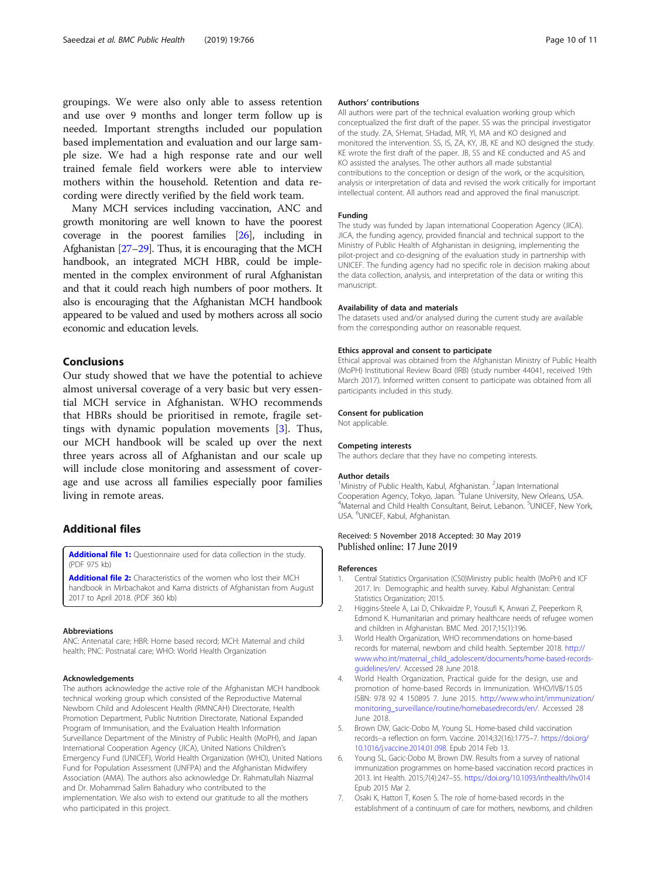<span id="page-9-0"></span>groupings. We were also only able to assess retention and use over 9 months and longer term follow up is needed. Important strengths included our population based implementation and evaluation and our large sample size. We had a high response rate and our well trained female field workers were able to interview mothers within the household. Retention and data recording were directly verified by the field work team.

Many MCH services including vaccination, ANC and growth monitoring are well known to have the poorest coverage in the poorest families [\[26](#page-10-0)], including in Afghanistan [\[27](#page-10-0)–[29\]](#page-10-0). Thus, it is encouraging that the MCH handbook, an integrated MCH HBR, could be implemented in the complex environment of rural Afghanistan and that it could reach high numbers of poor mothers. It also is encouraging that the Afghanistan MCH handbook appeared to be valued and used by mothers across all socio economic and education levels.

## Conclusions

Our study showed that we have the potential to achieve almost universal coverage of a very basic but very essential MCH service in Afghanistan. WHO recommends that HBRs should be prioritised in remote, fragile settings with dynamic population movements [3]. Thus, our MCH handbook will be scaled up over the next three years across all of Afghanistan and our scale up will include close monitoring and assessment of coverage and use across all families especially poor families living in remote areas.

## Additional files

[Additional file 1:](https://doi.org/10.1186/s12889-019-7076-7) Questionnaire used for data collection in the study. (PDF 975 kb)

[Additional file 2:](https://doi.org/10.1186/s12889-019-7076-7) Characteristics of the women who lost their MCH handbook in Mirbachakot and Kama districts of Afghanistan from August 2017 to April 2018. (PDF 360 kb)

#### Abbreviations

ANC: Antenatal care; HBR: Home based record; MCH: Maternal and child health; PNC: Postnatal care; WHO: World Health Organization

#### Acknowledgements

The authors acknowledge the active role of the Afghanistan MCH handbook technical working group which consisted of the Reproductive Maternal Newborn Child and Adolescent Health (RMNCAH) Directorate, Health Promotion Department, Public Nutrition Directorate, National Expanded Program of Immunisation, and the Evaluation Health Information Surveillance Department of the Ministry of Public Health (MoPH), and Japan International Cooperation Agency (JICA), United Nations Children's Emergency Fund (UNICEF), World Health Organization (WHO), United Nations Fund for Population Assessment (UNFPA) and the Afghanistan Midwifery Association (AMA). The authors also acknowledge Dr. Rahmatullah Niazmal and Dr. Mohammad Salim Bahadury who contributed to the implementation. We also wish to extend our gratitude to all the mothers who participated in this project.

#### Authors' contributions

All authors were part of the technical evaluation working group which conceptualized the first draft of the paper. SS was the principal investigator of the study. ZA, SHemat, SHadad, MR, YI, MA and KO designed and monitored the intervention. SS, IS, ZA, KY, JB, KE and KO designed the study. KE wrote the first draft of the paper. JB, SS and KE conducted and AS and KO assisted the analyses. The other authors all made substantial contributions to the conception or design of the work, or the acquisition, analysis or interpretation of data and revised the work critically for important intellectual content. All authors read and approved the final manuscript.

#### Funding

The study was funded by Japan international Cooperation Agency (JICA). JICA, the funding agency, provided financial and technical support to the Ministry of Public Health of Afghanistan in designing, implementing the pilot-project and co-designing of the evaluation study in partnership with UNICEF. The funding agency had no specific role in decision making about the data collection, analysis, and interpretation of the data or writing this manuscript.

#### Availability of data and materials

The datasets used and/or analysed during the current study are available from the corresponding author on reasonable request.

#### Ethics approval and consent to participate

Ethical approval was obtained from the Afghanistan Ministry of Public Health (MoPH) Institutional Review Board (IRB) (study number 44041, received 19th March 2017). Informed written consent to participate was obtained from all participants included in this study.

#### Consent for publication

Not applicable.

#### Competing interests

The authors declare that they have no competing interests.

#### Author details

<sup>1</sup>Ministry of Public Health, Kabul, Afghanistan. <sup>2</sup>Japan International Cooperation Agency, Tokyo, Japan. <sup>3</sup>Tulane University, New Orleans, USA.<br><sup>4</sup>Maternal and Child Hoalth Consultant, Beirut, Lobanon. <sup>5</sup>UNICEE, New Yo Maternal and Child Health Consultant, Beirut, Lebanon. <sup>5</sup>UNICEF, New York USA. <sup>6</sup>UNICEF, Kabul, Afghanistan.

#### Received: 5 November 2018 Accepted: 30 May 2019 Published online: 17 June 2019

#### References

- 1. Central Statistics Organisation (CS0)Ministry public health (MoPH) and ICF 2017. In: Demographic and health survey. Kabul Afghanistan: Central Statistics Organization; 2015.
- 2. Higgins-Steele A, Lai D, Chikvaidze P, Yousufi K, Anwari Z, Peeperkorn R, Edmond K. Humanitarian and primary healthcare needs of refugee women and children in Afghanistan. BMC Med. 2017;15(1):196.
- 3. World Health Organization, WHO recommendations on home-based records for maternal, newborn and child health. September 2018. [http://](http://www.who.int/maternal_child_adolescent/documents/home-based-records-guidelines/en/) [www.who.int/maternal\\_child\\_adolescent/documents/home-based-records](http://www.who.int/maternal_child_adolescent/documents/home-based-records-guidelines/en/)[guidelines/en/.](http://www.who.int/maternal_child_adolescent/documents/home-based-records-guidelines/en/) Accessed 28 June 2018.
- 4. World Health Organization, Practical guide for the design, use and promotion of home-based Records in Immunization. WHO/IVB/15.05 ISBN: 978 92 4 150895 7. June 2015. [http://www.who.int/immunization/](http://www.who.int/immunization/monitoring_surveillance/routine/homebasedrecords/en/) [monitoring\\_surveillance/routine/homebasedrecords/en/.](http://www.who.int/immunization/monitoring_surveillance/routine/homebasedrecords/en/) Accessed 28 June 2018.
- 5. Brown DW, Gacic-Dobo M, Young SL. Home-based child vaccination records--a reflection on form. Vaccine. 2014;32(16):1775–7. [https://doi.org/](https://doi.org/10.1016/j.vaccine.2014.01.098) [10.1016/j.vaccine.2014.01.098](https://doi.org/10.1016/j.vaccine.2014.01.098). Epub 2014 Feb 13.
- 6. Young SL, Gacic-Dobo M, Brown DW. Results from a survey of national immunization programmes on home-based vaccination record practices in 2013. Int Health. 2015;7(4):247–55. <https://doi.org/10.1093/inthealth/ihv014> Epub 2015 Mar 2.
- 7. Osaki K, Hattori T, Kosen S. The role of home-based records in the establishment of a continuum of care for mothers, newborns, and children